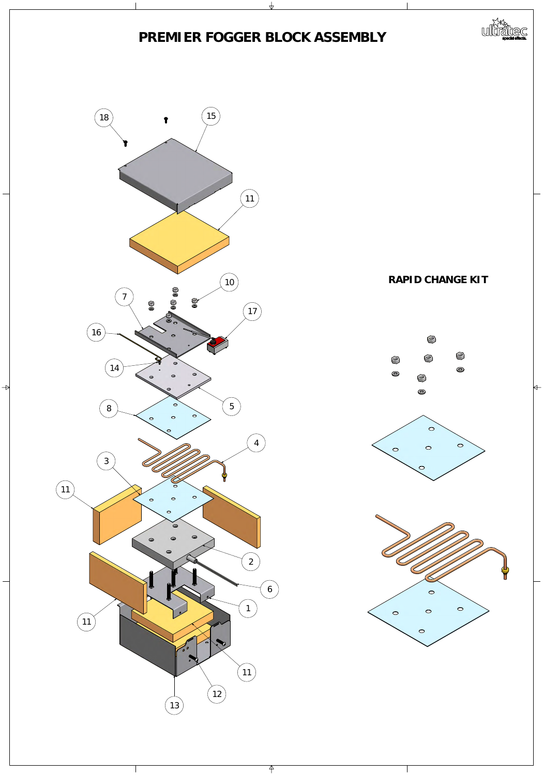

 $\rightarrow$ 

 $\Leftrightarrow$